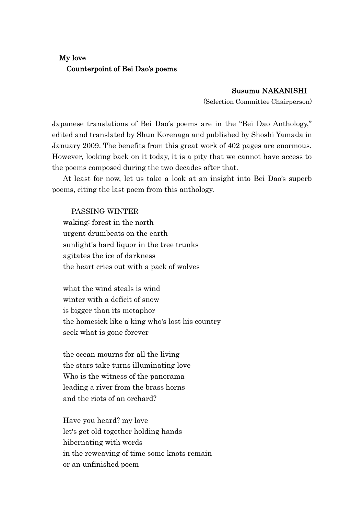## My love Counterpoint of Bei Dao's poems

## Susumu NAKANISHI

(Selection Committee Chairperson)

Japanese translations of Bei Dao's poems are in the "Bei Dao Anthology," edited and translated by Shun Korenaga and published by Shoshi Yamada in January 2009. The benefits from this great work of 402 pages are enormous. However, looking back on it today, it is a pity that we cannot have access to the poems composed during the two decades after that.

At least for now, let us take a look at an insight into Bei Dao's superb poems, citing the last poem from this anthology.

PASSING WINTER waking: forest in the north urgent drumbeats on the earth sunlight's hard liquor in the tree trunks agitates the ice of darkness the heart cries out with a pack of wolves

what the wind steals is wind winter with a deficit of snow is bigger than its metaphor the homesick like a king who's lost his country seek what is gone forever

the ocean mourns for all the living the stars take turns illuminating love Who is the witness of the panorama leading a river from the brass horns and the riots of an orchard?

Have you heard? my love let's get old together holding hands hibernating with words in the reweaving of time some knots remain or an unfinished poem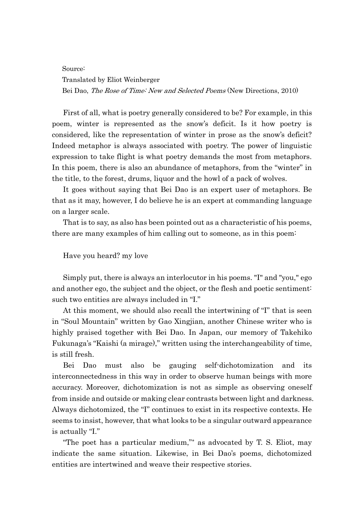## Source: Translated by Eliot Weinberger Bei Dao, The Rose of Time: New and Selected Poems (New Directions, 2010)

First of all, what is poetry generally considered to be? For example, in this poem, winter is represented as the snow's deficit. Is it how poetry is considered, like the representation of winter in prose as the snow's deficit? Indeed metaphor is always associated with poetry. The power of linguistic expression to take flight is what poetry demands the most from metaphors. In this poem, there is also an abundance of metaphors, from the "winter" in the title, to the forest, drums, liquor and the howl of a pack of wolves.

It goes without saying that Bei Dao is an expert user of metaphors. Be that as it may, however, I do believe he is an expert at commanding language on a larger scale.

That is to say, as also has been pointed out as a characteristic of his poems, there are many examples of him calling out to someone, as in this poem:

## Have you heard? my love

Simply put, there is always an interlocutor in his poems. "I" and "you," ego and another ego, the subject and the object, or the flesh and poetic sentiment: such two entities are always included in "I."

At this moment, we should also recall the intertwining of "I" that is seen in "Soul Mountain" written by Gao Xingjian, another Chinese writer who is highly praised together with Bei Dao. In Japan, our memory of Takehiko Fukunaga's "Kaishi (a mirage)," written using the interchangeability of time, is still fresh.

Bei Dao must also be gauging self-dichotomization and its interconnectedness in this way in order to observe human beings with more accuracy. Moreover, dichotomization is not as simple as observing oneself from inside and outside or making clear contrasts between light and darkness. Always dichotomized, the "I" continues to exist in its respective contexts. He seems to insist, however, that what looks to be a singular outward appearance is actually "I."

"The poet has a particular medium,"\* as advocated by T. S. Eliot, may indicate the same situation. Likewise, in Bei Dao's poems, dichotomized entities are intertwined and weave their respective stories.